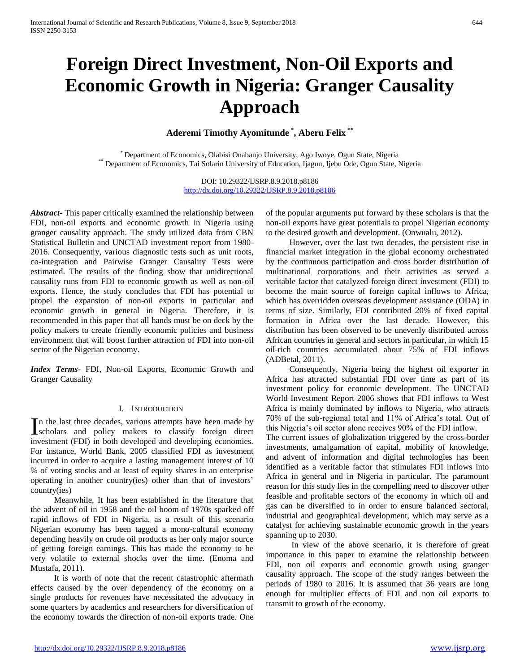# **Foreign Direct Investment, Non-Oil Exports and Economic Growth in Nigeria: Granger Causality Approach**

**Aderemi Timothy Ayomitunde \* , Aberu Felix \*\***

\* Department of Economics, Olabisi Onabanjo University, Ago Iwoye, Ogun State, Nigeria \*\* Department of Economics, Tai Solarin University of Education, Ijagun, Ijebu Ode, Ogun State, Nigeria

> DOI: 10.29322/IJSRP.8.9.2018.p8186 <http://dx.doi.org/10.29322/IJSRP.8.9.2018.p8186>

*Abstract***-** This paper critically examined the relationship between FDI, non-oil exports and economic growth in Nigeria using granger causality approach. The study utilized data from CBN Statistical Bulletin and UNCTAD investment report from 1980- 2016. Consequently, various diagnostic tests such as unit roots, co-integration and Pairwise Granger Causality Tests were estimated. The results of the finding show that unidirectional causality runs from FDI to economic growth as well as non-oil exports. Hence, the study concludes that FDI has potential to propel the expansion of non-oil exports in particular and economic growth in general in Nigeria. Therefore, it is recommended in this paper that all hands must be on deck by the policy makers to create friendly economic policies and business environment that will boost further attraction of FDI into non-oil sector of the Nigerian economy.

*Index Terms*- FDI, Non-oil Exports, Economic Growth and Granger Causality

#### I. INTRODUCTION

n the last three decades, various attempts have been made by In the last three decades, various attempts have been made by scholars and policy makers to classify foreign direct investment (FDI) in both developed and developing economies. For instance, World Bank, 2005 classified FDI as investment incurred in order to acquire a lasting management interest of 10 % of voting stocks and at least of equity shares in an enterprise operating in another country(ies) other than that of investors` country(ies)

 Meanwhile, It has been established in the literature that the advent of oil in 1958 and the oil boom of 1970s sparked off rapid inflows of FDI in Nigeria, as a result of this scenario Nigerian economy has been tagged a mono-cultural economy depending heavily on crude oil products as her only major source of getting foreign earnings. This has made the economy to be very volatile to external shocks over the time. (Enoma and Mustafa, 2011).

 It is worth of note that the recent catastrophic aftermath effects caused by the over dependency of the economy on a single products for revenues have necessitated the advocacy in some quarters by academics and researchers for diversification of the economy towards the direction of non-oil exports trade. One of the popular arguments put forward by these scholars is that the non-oil exports have great potentials to propel Nigerian economy to the desired growth and development. (Onwualu, 2012).

 However, over the last two decades, the persistent rise in financial market integration in the global economy orchestrated by the continuous participation and cross border distribution of multinational corporations and their activities as served a veritable factor that catalyzed foreign direct investment (FDI) to become the main source of foreign capital inflows to Africa, which has overridden overseas development assistance (ODA) in terms of size. Similarly, FDI contributed 20% of fixed capital formation in Africa over the last decade. However, this distribution has been observed to be unevenly distributed across African countries in general and sectors in particular, in which 15 oil-rich countries accumulated about 75% of FDI inflows (ADBetal, 2011).

 Consequently, Nigeria being the highest oil exporter in Africa has attracted substantial FDI over time as part of its investment policy for economic development. The UNCTAD World Investment Report 2006 shows that FDI inflows to West Africa is mainly dominated by inflows to Nigeria, who attracts 70% of the sub-regional total and 11% of Africa's total. Out of this Nigeria's oil sector alone receives 90% of the FDI inflow.

The current issues of globalization triggered by the cross-border investments, amalgamation of capital, mobility of knowledge, and advent of information and digital technologies has been identified as a veritable factor that stimulates FDI inflows into Africa in general and in Nigeria in particular. The paramount reason for this study lies in the compelling need to discover other feasible and profitable sectors of the economy in which oil and gas can be diversified to in order to ensure balanced sectoral, industrial and geographical development, which may serve as a catalyst for achieving sustainable economic growth in the years spanning up to 2030.

 In view of the above scenario, it is therefore of great importance in this paper to examine the relationship between FDI, non oil exports and economic growth using granger causality approach. The scope of the study ranges between the periods of 1980 to 2016. It is assumed that 36 years are long enough for multiplier effects of FDI and non oil exports to transmit to growth of the economy.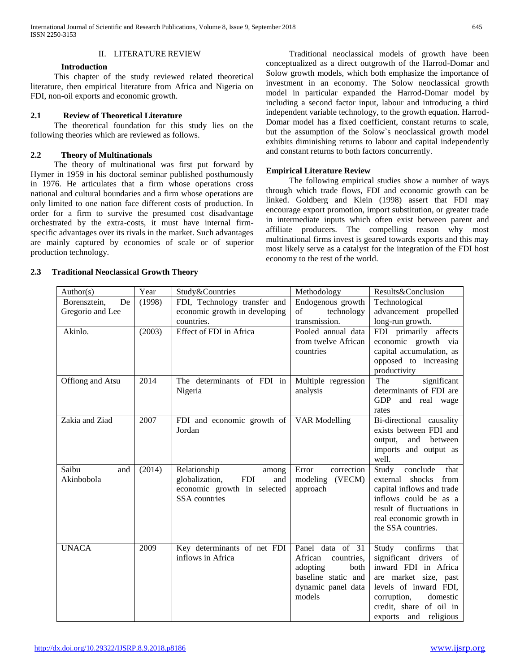#### II. LITERATURE REVIEW

#### **Introduction**

 This chapter of the study reviewed related theoretical literature, then empirical literature from Africa and Nigeria on FDI, non-oil exports and economic growth.

## **2.1 Review of Theoretical Literature**

 The theoretical foundation for this study lies on the following theories which are reviewed as follows.

## **2.2 Theory of Multinationals**

 The theory of multinational was first put forward by Hymer in 1959 in his doctoral seminar published posthumously in 1976. He articulates that a firm whose operations cross national and cultural boundaries and a firm whose operations are only limited to one nation face different costs of production. In order for a firm to survive the presumed cost disadvantage orchestrated by the extra-costs, it must have internal firmspecific advantages over its rivals in the market. Such advantages are mainly captured by economies of scale or of superior production technology.

 Traditional neoclassical models of growth have been conceptualized as a direct outgrowth of the Harrod-Domar and Solow growth models, which both emphasize the importance of investment in an economy. The Solow neoclassical growth model in particular expanded the Harrod-Domar model by including a second factor input, labour and introducing a third independent variable technology, to the growth equation. Harrod-Domar model has a fixed coefficient, constant returns to scale, but the assumption of the Solow`s neoclassical growth model exhibits diminishing returns to labour and capital independently and constant returns to both factors concurrently.

## **Empirical Literature Review**

 The following empirical studies show a number of ways through which trade flows, FDI and economic growth can be linked. Goldberg and Klein (1998) assert that FDI may encourage export promotion, import substitution, or greater trade in intermediate inputs which often exist between parent and affiliate producers. The compelling reason why most multinational firms invest is geared towards exports and this may most likely serve as a catalyst for the integration of the FDI host economy to the rest of the world.

| Author(s)                              | Year   | Study&Countries                                                                                                     | Methodology                                                                                                          | Results&Conclusion                                                                                                                                                                                        |
|----------------------------------------|--------|---------------------------------------------------------------------------------------------------------------------|----------------------------------------------------------------------------------------------------------------------|-----------------------------------------------------------------------------------------------------------------------------------------------------------------------------------------------------------|
| Borensztein,<br>De<br>Gregorio and Lee | (1998) | FDI, Technology transfer and<br>economic growth in developing<br>countries.                                         | Endogenous growth<br>of<br>technology<br>transmission.                                                               | Technological<br>advancement propelled<br>long-run growth.                                                                                                                                                |
| Akinlo.                                | (2003) | <b>Effect of FDI</b> in Africa                                                                                      | Pooled annual data<br>from twelve African<br>countries                                                               | FDI primarily affects<br>economic growth via<br>capital accumulation, as<br>opposed to increasing<br>productivity                                                                                         |
| Offiong and Atsu                       | 2014   | The determinants of FDI in<br>Nigeria                                                                               | Multiple regression<br>analysis                                                                                      | significant<br>The<br>determinants of FDI are<br><b>GDP</b><br>and real wage<br>rates                                                                                                                     |
| Zakia and Ziad                         | 2007   | FDI and economic growth of<br>Jordan                                                                                | VAR Modelling                                                                                                        | Bi-directional causality<br>exists between FDI and<br>and between<br>output,<br>imports and output as<br>well.                                                                                            |
| Saibu<br>and<br>Akinbobola             | (2014) | Relationship<br>among<br>globalization,<br><b>FDI</b><br>and<br>economic growth in selected<br><b>SSA</b> countries | Error<br>correction<br>modeling (VECM)<br>approach                                                                   | Study<br>conclude<br>that<br>external shocks from<br>capital inflows and trade<br>inflows could be as a<br>result of fluctuations in<br>real economic growth in<br>the SSA countries.                     |
| <b>UNACA</b>                           | 2009   | Key determinants of net FDI<br>inflows in Africa                                                                    | Panel data of 31<br>African<br>countries.<br>adopting<br>both<br>baseline static and<br>dynamic panel data<br>models | Study confirms<br>that<br>significant drivers of<br>inward FDI in Africa<br>are market size, past<br>levels of inward FDI,<br>corruption,<br>domestic<br>credit, share of oil in<br>exports and religious |

#### **2.3 Traditional Neoclassical Growth Theory**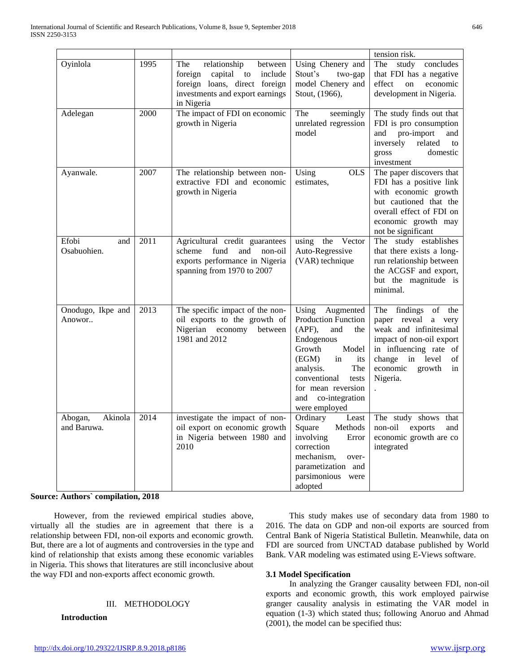|                                   |      |                                                                                                                                                      |                                                                                                                                                                                                                                              | tension risk.                                                                                                                                                                               |
|-----------------------------------|------|------------------------------------------------------------------------------------------------------------------------------------------------------|----------------------------------------------------------------------------------------------------------------------------------------------------------------------------------------------------------------------------------------------|---------------------------------------------------------------------------------------------------------------------------------------------------------------------------------------------|
| Oyinlola                          | 1995 | relationship<br>The<br>between<br>capital to<br>foreign<br>include<br>foreign loans, direct foreign<br>investments and export earnings<br>in Nigeria | Using Chenery and<br>Stout's<br>two-gap<br>model Chenery and<br>Stout, (1966),                                                                                                                                                               | concludes<br>The study<br>that FDI has a negative<br>effect<br>on<br>economic<br>development in Nigeria.                                                                                    |
| Adelegan                          | 2000 | The impact of FDI on economic<br>growth in Nigeria                                                                                                   | The<br>seemingly<br>unrelated regression<br>model                                                                                                                                                                                            | The study finds out that<br>FDI is pro consumption<br>pro-import<br>and<br>and<br>inversely<br>related<br>to<br>domestic<br>gross<br>investment                                             |
| Ayanwale.                         | 2007 | The relationship between non-<br>extractive FDI and economic<br>growth in Nigeria                                                                    | Using<br><b>OLS</b><br>estimates,                                                                                                                                                                                                            | The paper discovers that<br>FDI has a positive link<br>with economic growth<br>but cautioned that the<br>overall effect of FDI on<br>economic growth may<br>not be significant              |
| Efobi<br>and<br>Osabuohien.       | 2011 | Agricultural credit guarantees<br>scheme<br>fund<br>and<br>non-oil<br>exports performance in Nigeria<br>spanning from 1970 to 2007                   | using the<br>Vector<br>Auto-Regressive<br>(VAR) technique                                                                                                                                                                                    | The study establishes<br>that there exists a long-<br>run relationship between<br>the ACGSF and export,<br>but the magnitude is<br>minimal.                                                 |
| Onodugo, Ikpe and<br>Anowor       | 2013 | The specific impact of the non-<br>oil exports to the growth of<br>Nigerian economy<br>between<br>1981 and 2012                                      | Augmented<br>Using<br><b>Production Function</b><br>(APF),<br>and<br>the<br>Endogenous<br>Growth<br>Model<br>(EGM)<br>in<br>its<br>The<br>analysis.<br>conventional<br>tests<br>for mean reversion<br>co-integration<br>and<br>were employed | The findings of the<br>paper reveal a very<br>weak and infinitesimal<br>impact of non-oil export<br>in influencing rate of<br>change in level<br>of<br>economic<br>growth<br>in<br>Nigeria. |
| Akinola<br>Abogan,<br>and Baruwa. | 2014 | investigate the impact of non-<br>oil export on economic growth<br>in Nigeria between 1980 and<br>2010                                               | Ordinary<br>Least<br>Square<br>Methods<br>involving<br>Error<br>correction<br>mechanism,<br>over-<br>parametization and<br>parsimonious were<br>adopted                                                                                      | The study shows that<br>non-oil<br>exports<br>and<br>economic growth are co<br>integrated                                                                                                   |

## **Source: Authors` compilation, 2018**

 However, from the reviewed empirical studies above, virtually all the studies are in agreement that there is a relationship between FDI, non-oil exports and economic growth. But, there are a lot of augments and controversies in the type and kind of relationship that exists among these economic variables in Nigeria. This shows that literatures are still inconclusive about the way FDI and non-exports affect economic growth.

#### III. METHODOLOGY

# **Introduction**

 This study makes use of secondary data from 1980 to 2016. The data on GDP and non-oil exports are sourced from Central Bank of Nigeria Statistical Bulletin. Meanwhile, data on FDI are sourced from UNCTAD database published by World Bank. VAR modeling was estimated using E-Views software.

#### **3.1 Model Specification**

 In analyzing the Granger causality between FDI, non-oil exports and economic growth, this work employed pairwise granger causality analysis in estimating the VAR model in equation (1-3) which stated thus; following Anoruo and Ahmad (2001), the model can be specified thus: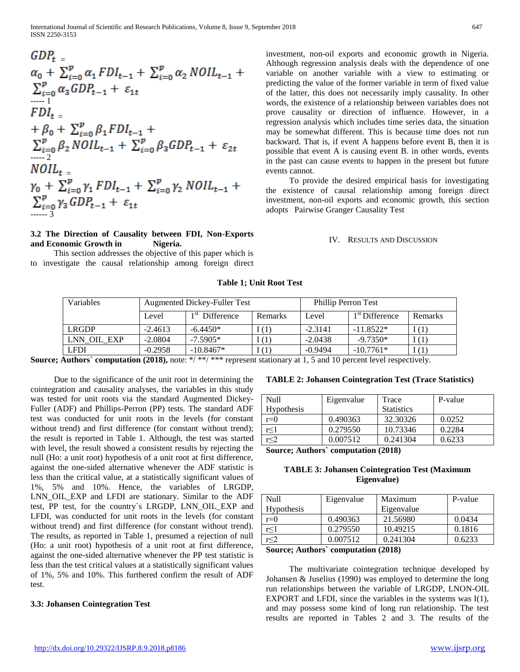$$
GDP_{t} =\n\alpha_{0} + \sum_{i=0}^{p} \alpha_{1} FDI_{t-1} + \sum_{i=0}^{p} \alpha_{2} N OIL_{t-1} +\n\sum_{i=0}^{p} \alpha_{3} GDP_{t-1} + \varepsilon_{1t}\n+ fDI_{t} =\n+ \beta_{0} + \sum_{i=0}^{p} \beta_{1} FDI_{t-1} +\n\sum_{i=0}^{p} \beta_{2} N OIL_{t-1} + \sum_{i=0}^{p} \beta_{3} GDP_{t-1} + \varepsilon_{2t}\n- \sum_{i=0}^{p} \gamma_{2} N OIL_{t} =\n\gamma_{0} + \sum_{i=0}^{p} \gamma_{1} FDI_{t-1} + \sum_{i=0}^{p} \gamma_{2} N OIL_{t-1} +\n\sum_{i=0}^{p} \gamma_{3} GDP_{t-1} + \varepsilon_{1t}\n- \sum_{i=3}^{p} \gamma_{3} GDP_{t-1} + \varepsilon_{1t}
$$

## **3.2 The Direction of Causality between FDI, Non-Exports and Economic Growth in Nigeria.**

 This section addresses the objective of this paper which is to investigate the causal relationship among foreign direct investment, non-oil exports and economic growth in Nigeria. Although regression analysis deals with the dependence of one variable on another variable with a view to estimating or predicting the value of the former variable in term of fixed value of the latter, this does not necessarily imply causality. In other words, the existence of a relationship between variables does not prove causality or direction of influence. However, in a regression analysis which includes time series data, the situation may be somewhat different. This is because time does not run backward. That is, if event A happens before event B, then it is possible that event A is causing event B. in other words, events in the past can cause events to happen in the present but future events cannot.

 To provide the desired empirical basis for investigating the existence of causal relationship among foreign direct investment, non-oil exports and economic growth, this section adopts Pairwise Granger Causality Test

#### IV. RESULTS AND DISCUSSION

## **Table 1; Unit Root Test**

| Variables   | <b>Augmented Dickey-Fuller Test</b> |                           | <b>Phillip Perron Test</b> |           |                            |                |
|-------------|-------------------------------------|---------------------------|----------------------------|-----------|----------------------------|----------------|
|             | Level                               | 1 St<br><b>Difference</b> | <b>Remarks</b>             | Level     | 1 <sup>st</sup> Difference | <b>Remarks</b> |
| LRGDP       | $-2.4613$                           | $-6.4450*$                | I(1)                       | $-2.3141$ | $-11.8522*$                | (1)            |
| LNN OIL EXP | $-2.0804$                           | $-7.5905*$                | (1)                        | $-2.0438$ | $-9.7350*$                 | (1)            |
| <b>LFDI</b> | $-0.2958$                           | $-10.8467*$               | I(1)                       | $-0.9494$ | $-10.7761*$                | (1)            |

**Source; Authors` computation (2018),** note: \*/ \*\*/ \*\*\* represent stationary at 1, 5 and 10 percent level respectively.

 Due to the significance of the unit root in determining the cointegration and causality analyses, the variables in this study was tested for unit roots via the standard Augmented Dickey-Fuller (ADF) and Phillips-Perron (PP) tests. The standard ADF test was conducted for unit roots in the levels (for constant without trend) and first difference (for constant without trend); the result is reported in Table 1. Although, the test was started with level, the result showed a consistent results by rejecting the null (Ho: a unit root) hypothesis of a unit root at first difference, against the one-sided alternative whenever the ADF statistic is less than the critical value, at a statistically significant values of 1%, 5% and 10%. Hence, the variables of LRGDP, LNN\_OIL\_EXP and LFDI are stationary. Similar to the ADF test, PP test, for the country`s LRGDP, LNN\_OIL\_EXP and LFDI, was conducted for unit roots in the levels (for constant without trend) and first difference (for constant without trend). The results, as reported in Table 1, presumed a rejection of null (Ho: a unit root) hypothesis of a unit root at first difference, against the one-sided alternative whenever the PP test statistic is less than the test critical values at a statistically significant values of 1%, 5% and 10%. This furthered confirm the result of ADF test.

#### **3.3: Johansen Cointegration Test**

## **TABLE 2: Johansen Cointegration Test (Trace Statistics)**

| Null                          | Eigenvalue      | Trace             | P-value |
|-------------------------------|-----------------|-------------------|---------|
| <b>Hypothesis</b>             |                 | <b>Statistics</b> |         |
| $r=0$                         | 0.490363        | 32.30326          | 0.0252  |
| r<1                           | 0.279550        | 10.73346          | 0.2284  |
| r<2                           | 0.007512        | 0.241304          | 0.6233  |
| $\sim$<br>$\lambda$ $\lambda$ | $\cdot$ $\cdot$ | (0.010)           |         |

**Source; Authors` computation (2018)**

## **TABLE 3: Johansen Cointegration Test (Maximum Eigenvalue)**

| Null               | Eigenvalue | Maximum    | P-value |
|--------------------|------------|------------|---------|
| <b>Hypothesis</b>  |            | Eigenvalue |         |
| $r=0$              | 0.490363   | 21.56980   | 0.0434  |
| r<1                | 0.279550   | 10.49215   | 0.1816  |
|                    | 0.007512   | 0.241304   | 0.6233  |
| $\sim$<br>$\cdots$ | .          | (0.010)    |         |

**Source; Authors` computation (2018)**

 The multivariate cointegration technique developed by Johansen & Juselius (1990) was employed to determine the long run relationships between the variable of LRGDP, LNON-OIL EXPORT and LFDI, since the variables in the systems was I(1), and may possess some kind of long run relationship. The test results are reported in Tables 2 and 3. The results of the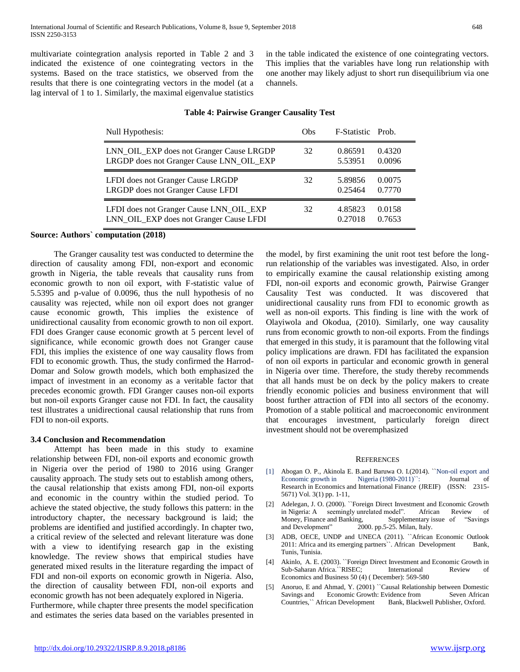multivariate cointegration analysis reported in Table 2 and 3 indicated the existence of one cointegrating vectors in the systems. Based on the trace statistics, we observed from the results that there is one cointegrating vectors in the model (at a lag interval of 1 to 1. Similarly, the maximal eigenvalue statistics in the table indicated the existence of one cointegrating vectors. This implies that the variables have long run relationship with one another may likely adjust to short run disequilibrium via one channels.

| Null Hypothesis:                         | <b>Obs</b> | F-Statistic Prob. |        |
|------------------------------------------|------------|-------------------|--------|
| LNN_OIL_EXP does not Granger Cause LRGDP | 32         | 0.86591           | 0.4320 |
| LRGDP does not Granger Cause LNN_OIL_EXP |            | 5.53951           | 0.0096 |
| LFDI does not Granger Cause LRGDP        | 32         | 5.89856           | 0.0075 |
| LRGDP does not Granger Cause LFDI        |            | 0.25464           | 0.7770 |
| LFDI does not Granger Cause LNN_OIL_EXP  | 32         | 4.85823           | 0.0158 |
| LNN_OIL_EXP does not Granger Cause LFDI  |            | 0.27018           | 0.7653 |

#### **Table 4: Pairwise Granger Causality Test**

#### **Source: Authors` computation (2018)**

 The Granger causality test was conducted to determine the direction of causality among FDI, non-export and economic growth in Nigeria, the table reveals that causality runs from economic growth to non oil export, with F-statistic value of 5.5395 and p-value of 0.0096, thus the null hypothesis of no causality was rejected, while non oil export does not granger cause economic growth, This implies the existence of unidirectional causality from economic growth to non oil export. FDI does Granger cause economic growth at 5 percent level of significance, while economic growth does not Granger cause FDI, this implies the existence of one way causality flows from FDI to economic growth. Thus, the study confirmed the Harrod-Domar and Solow growth models, which both emphasized the impact of investment in an economy as a veritable factor that precedes economic growth. FDI Granger causes non-oil exports but non-oil exports Granger cause not FDI. In fact, the causality test illustrates a unidirectional causal relationship that runs from FDI to non-oil exports.

#### **3.4 Conclusion and Recommendation**

 Attempt has been made in this study to examine relationship between FDI, non-oil exports and economic growth in Nigeria over the period of 1980 to 2016 using Granger causality approach. The study sets out to establish among others, the causal relationship that exists among FDI, non-oil exports and economic in the country within the studied period. To achieve the stated objective, the study follows this pattern: in the introductory chapter, the necessary background is laid; the problems are identified and justified accordingly. In chapter two, a critical review of the selected and relevant literature was done with a view to identifying research gap in the existing knowledge. The review shows that empirical studies have generated mixed results in the literature regarding the impact of FDI and non-oil exports on economic growth in Nigeria. Also, the direction of causality between FDI, non-oil exports and economic growth has not been adequately explored in Nigeria. Furthermore, while chapter three presents the model specification and estimates the series data based on the variables presented in the model, by first examining the unit root test before the longrun relationship of the variables was investigated. Also, in order to empirically examine the causal relationship existing among FDI, non-oil exports and economic growth, Pairwise Granger Causality Test was conducted. It was discovered that unidirectional causality runs from FDI to economic growth as well as non-oil exports. This finding is line with the work of Olayiwola and Okodua, (2010). Similarly, one way causality runs from economic growth to non-oil exports. From the findings that emerged in this study, it is paramount that the following vital policy implications are drawn. FDI has facilitated the expansion of non oil exports in particular and economic growth in general in Nigeria over time. Therefore, the study thereby recommends that all hands must be on deck by the policy makers to create friendly economic policies and business environment that will boost further attraction of FDI into all sectors of the economy. Promotion of a stable political and macroeconomic environment that encourages investment, particularly foreign direct investment should not be overemphasized

#### **REFERENCES**

- [1] Abogan O. P., Akinola E. B.and Baruwa O. I.(2014). ``Non-oil export and Economic growth in Nigeria (1980-2011)<sup>\*\*</sup>: Journal of Research in Economics and International Finance (JREIF) (ISSN: 2315- 5671) Vol. 3(1) pp. 1-11,
- [2] Adelegan, J. O. (2000). ``Foreign Direct Investment and Economic Growth in Nigeria: A seemingly unrelated model". African Review of Money, Finance and Banking, Supplementary issue of "Savings" and Development" 2000. pp.5-25. Milan, Italy.
- [3] ADB, OECE, UNDP and UNECA (2011). "African Economic Outlook 2011: Africa and its emerging partners". African Development Bank, Tunis, Tunisia.
- [4] Akinlo, A. E. (2003). ``Foreign Direct Investment and Economic Growth in Sub-Saharan Africa.``RISEC; International Review of Economics and Business 50 (4) ( December): 569-580
- [5] Anoruo, E and Ahmad, Y. (2001) "Causal Relationship between Domestic Savings and Economic Growth: Evidence from Seven African Countries," African Development Bank, Blackwell Publisher, Oxford.